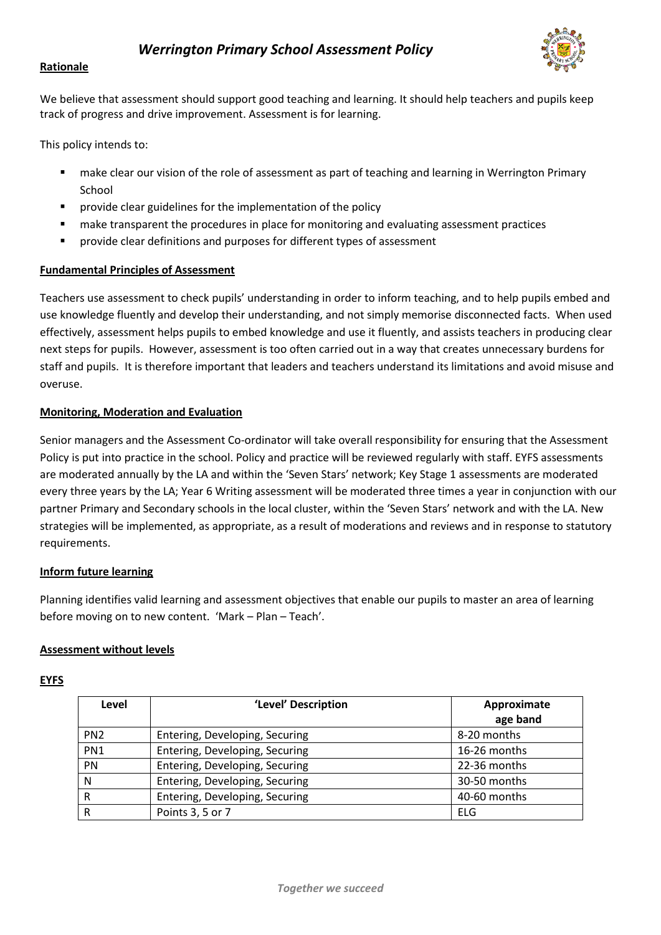

# **Rationale**

We believe that assessment should support good teaching and learning. It should help teachers and pupils keep track of progress and drive improvement. Assessment is for learning.

This policy intends to:

- make clear our vision of the role of assessment as part of teaching and learning in Werrington Primary School
- **P** provide clear guidelines for the implementation of the policy
- **•** make transparent the procedures in place for monitoring and evaluating assessment practices
- provide clear definitions and purposes for different types of assessment

## **Fundamental Principles of Assessment**

Teachers use assessment to check pupils' understanding in order to inform teaching, and to help pupils embed and use knowledge fluently and develop their understanding, and not simply memorise disconnected facts. When used effectively, assessment helps pupils to embed knowledge and use it fluently, and assists teachers in producing clear next steps for pupils. However, assessment is too often carried out in a way that creates unnecessary burdens for staff and pupils. It is therefore important that leaders and teachers understand its limitations and avoid misuse and overuse.

## **Monitoring, Moderation and Evaluation**

Senior managers and the Assessment Co-ordinator will take overall responsibility for ensuring that the Assessment Policy is put into practice in the school. Policy and practice will be reviewed regularly with staff. EYFS assessments are moderated annually by the LA and within the 'Seven Stars' network; Key Stage 1 assessments are moderated every three years by the LA; Year 6 Writing assessment will be moderated three times a year in conjunction with our partner Primary and Secondary schools in the local cluster, within the 'Seven Stars' network and with the LA. New strategies will be implemented, as appropriate, as a result of moderations and reviews and in response to statutory requirements.

## **Inform future learning**

Planning identifies valid learning and assessment objectives that enable our pupils to master an area of learning before moving on to new content. 'Mark – Plan – Teach'.

## **Assessment without levels**

## **EYFS**

| Level           | 'Level' Description            | Approximate<br>age band |
|-----------------|--------------------------------|-------------------------|
| PN <sub>2</sub> | Entering, Developing, Securing | 8-20 months             |
| PN <sub>1</sub> | Entering, Developing, Securing | 16-26 months            |
| PN              | Entering, Developing, Securing | 22-36 months            |
| N               | Entering, Developing, Securing | 30-50 months            |
| R               | Entering, Developing, Securing | 40-60 months            |
| R               | Points 3, 5 or 7               | ELG                     |